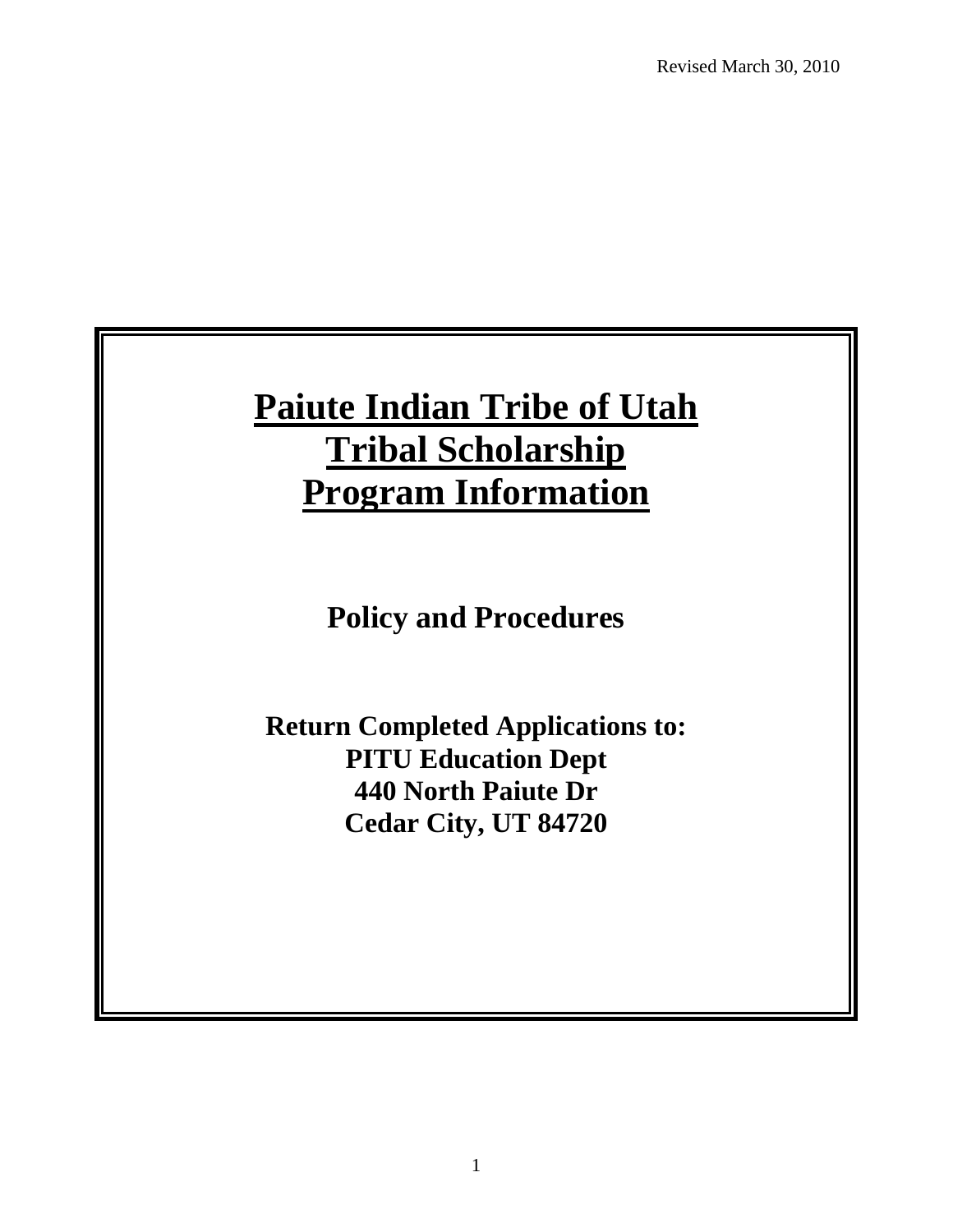## **Paiute Indian Tribe of Utah Tribal Scholarship Program Information**

**Policy and Procedures**

**Return Completed Applications to: PITU Education Dept 440 North Paiute Dr Cedar City, UT 84720**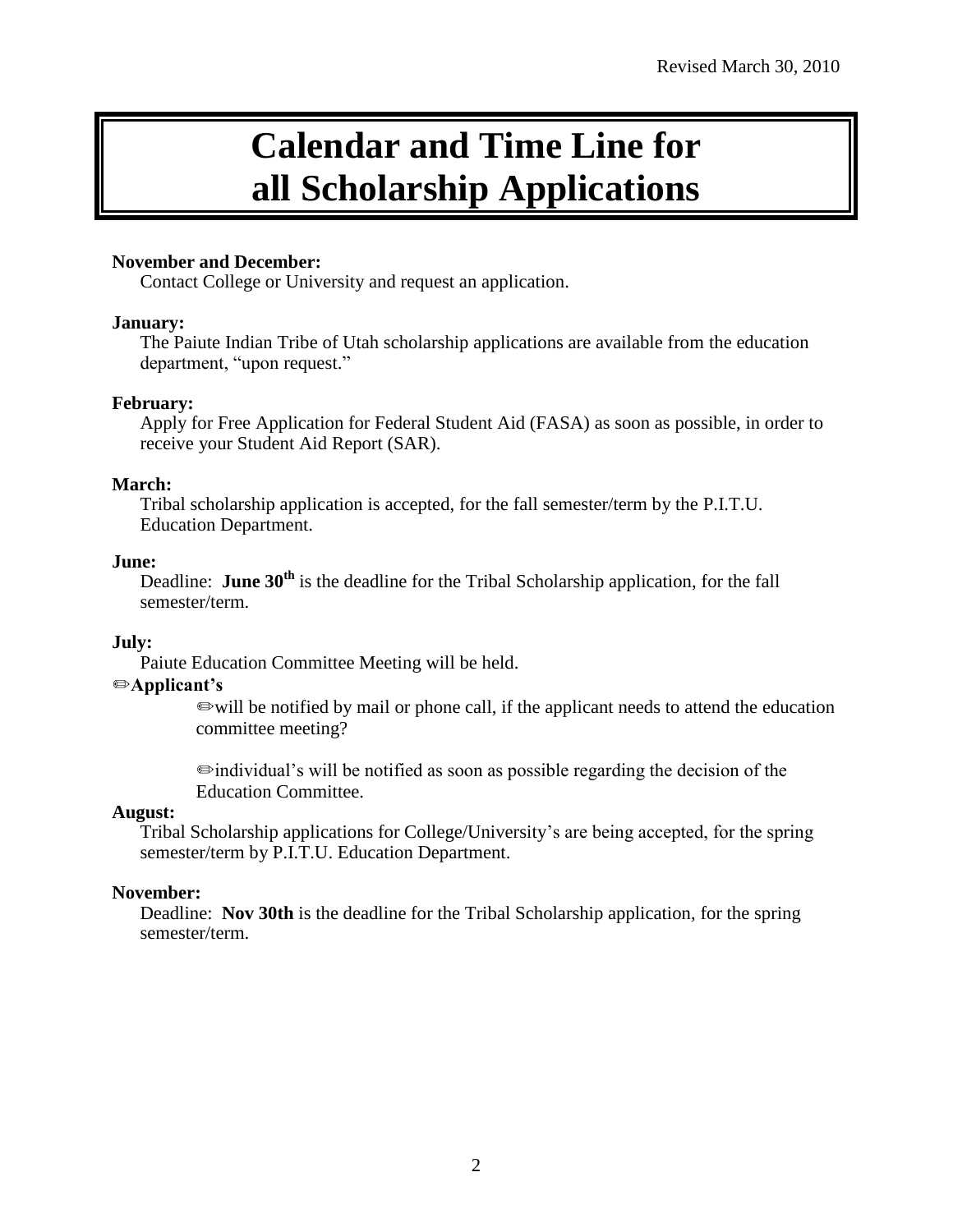## **Calendar and Time Line for all Scholarship Applications**

#### **November and December:**

Contact College or University and request an application.

#### **January:**

The Paiute Indian Tribe of Utah scholarship applications are available from the education department, "upon request."

#### **February:**

Apply for Free Application for Federal Student Aid (FASA) as soon as possible, in order to receive your Student Aid Report (SAR).

#### **March:**

Tribal scholarship application is accepted, for the fall semester/term by the P.I.T.U. Education Department.

#### **June:**

Deadline: **June 30<sup>th</sup>** is the deadline for the Tribal Scholarship application, for the fall semester/term.

#### **July:**

Paiute Education Committee Meeting will be held.

#### ✏**Applicant's**

✏will be notified by mail or phone call, if the applicant needs to attend the education committee meeting?

✏individual's will be notified as soon as possible regarding the decision of the Education Committee.

#### **August:**

Tribal Scholarship applications for College/University's are being accepted, for the spring semester/term by P.I.T.U. Education Department.

#### **November:**

Deadline: **Nov 30th** is the deadline for the Tribal Scholarship application, for the spring semester/term.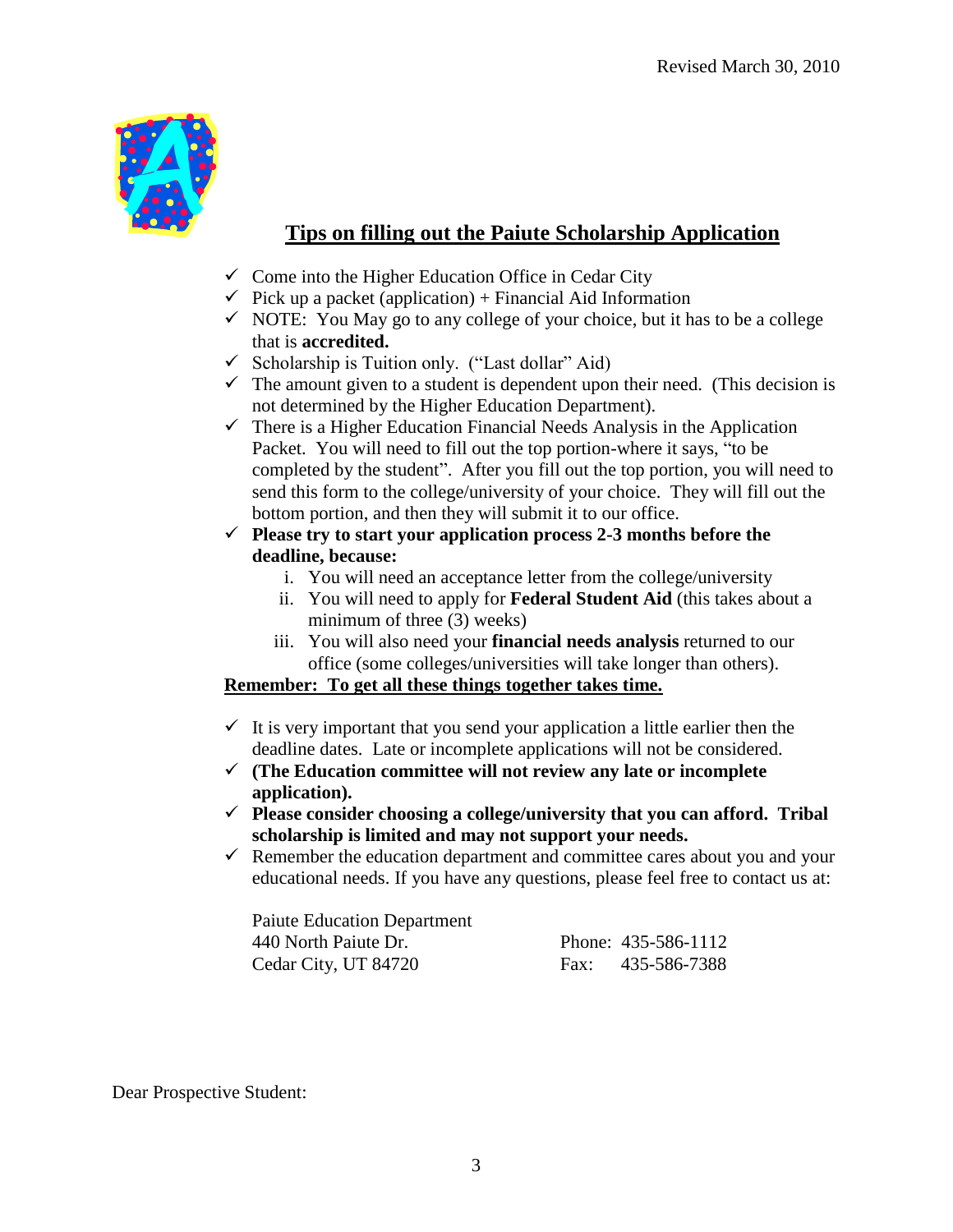

## **Tips on filling out the Paiute Scholarship Application**

- $\checkmark$  Come into the Higher Education Office in Cedar City
- $\checkmark$  Pick up a packet (application) + Financial Aid Information
- $\checkmark$  NOTE: You May go to any college of your choice, but it has to be a college that is **accredited.**
- $\checkmark$  Scholarship is Tuition only. ("Last dollar" Aid)
- $\checkmark$  The amount given to a student is dependent upon their need. (This decision is not determined by the Higher Education Department).
- $\checkmark$  There is a Higher Education Financial Needs Analysis in the Application Packet. You will need to fill out the top portion-where it says, "to be completed by the student". After you fill out the top portion, you will need to send this form to the college/university of your choice. They will fill out the bottom portion, and then they will submit it to our office.
- $\checkmark$  Please try to start your application process 2-3 months before the **deadline, because:**
	- i. You will need an acceptance letter from the college/university
	- ii. You will need to apply for **Federal Student Aid** (this takes about a minimum of three (3) weeks)
	- iii. You will also need your **financial needs analysis** returned to our office (some colleges/universities will take longer than others).

### **Remember: To get all these things together takes time.**

- $\checkmark$  It is very important that you send your application a little earlier then the deadline dates. Late or incomplete applications will not be considered.
- **(The Education committee will not review any late or incomplete application).**
- **Please consider choosing a college/university that you can afford. Tribal scholarship is limited and may not support your needs.**
- $\checkmark$  Remember the education department and committee cares about you and your educational needs. If you have any questions, please feel free to contact us at:

| <b>Paiute Education Department</b> |                     |
|------------------------------------|---------------------|
| 440 North Paiute Dr.               | Phone: 435-586-1112 |
| Cedar City, UT 84720               | Fax: 435-586-7388   |

#### Dear Prospective Student: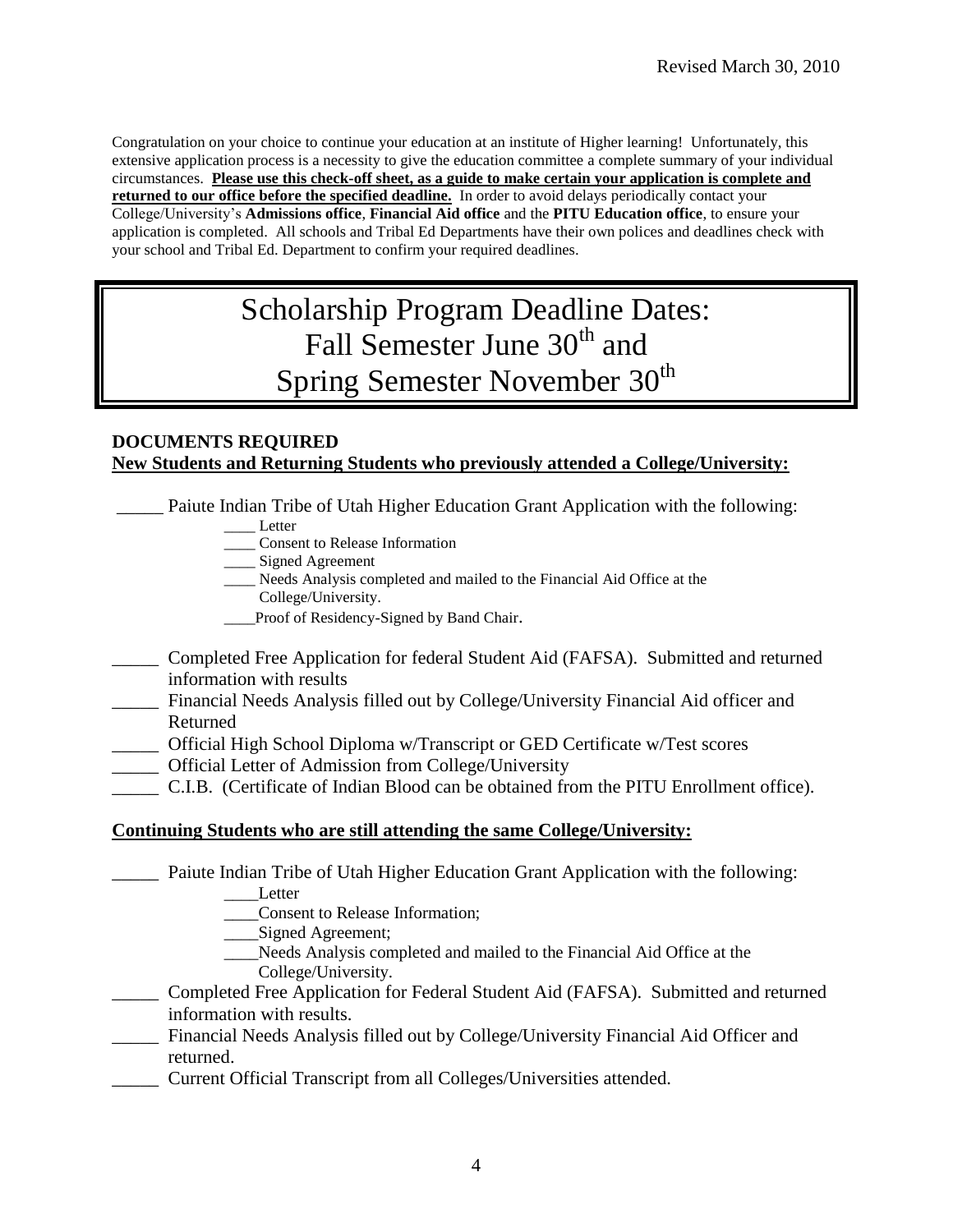Congratulation on your choice to continue your education at an institute of Higher learning! Unfortunately, this extensive application process is a necessity to give the education committee a complete summary of your individual circumstances. **Please use this check-off sheet, as a guide to make certain your application is complete and returned to our office before the specified deadline.** In order to avoid delays periodically contact your College/University's **Admissions office**, **Financial Aid office** and the **PITU Education office**, to ensure your application is completed. All schools and Tribal Ed Departments have their own polices and deadlines check with your school and Tribal Ed. Department to confirm your required deadlines.

## Scholarship Program Deadline Dates: Fall Semester June 30<sup>th</sup> and Spring Semester November 30<sup>th</sup>

#### **DOCUMENTS REQUIRED New Students and Returning Students who previously attended a College/University:**

Paiute Indian Tribe of Utah Higher Education Grant Application with the following:

- \_\_\_\_ Letter
- \_\_\_\_ Consent to Release Information
- \_\_\_\_ Signed Agreement
- Needs Analysis completed and mailed to the Financial Aid Office at the College/University.
- Proof of Residency-Signed by Band Chair.
- \_\_\_\_\_ Completed Free Application for federal Student Aid (FAFSA). Submitted and returned information with results
- \_\_\_\_\_ Financial Needs Analysis filled out by College/University Financial Aid officer and Returned
- \_\_\_\_\_ Official High School Diploma w/Transcript or GED Certificate w/Test scores
- \_\_\_\_\_ Official Letter of Admission from College/University
- \_\_\_\_\_ C.I.B. (Certificate of Indian Blood can be obtained from the PITU Enrollment office).

#### **Continuing Students who are still attending the same College/University:**

Paiute Indian Tribe of Utah Higher Education Grant Application with the following:

\_\_\_\_Letter

- \_\_\_\_Consent to Release Information;
- \_\_\_\_Signed Agreement;

Needs Analysis completed and mailed to the Financial Aid Office at the College/University.

- Completed Free Application for Federal Student Aid (FAFSA). Submitted and returned information with results.
- \_\_\_\_\_ Financial Needs Analysis filled out by College/University Financial Aid Officer and returned.
- \_\_\_\_\_ Current Official Transcript from all Colleges/Universities attended.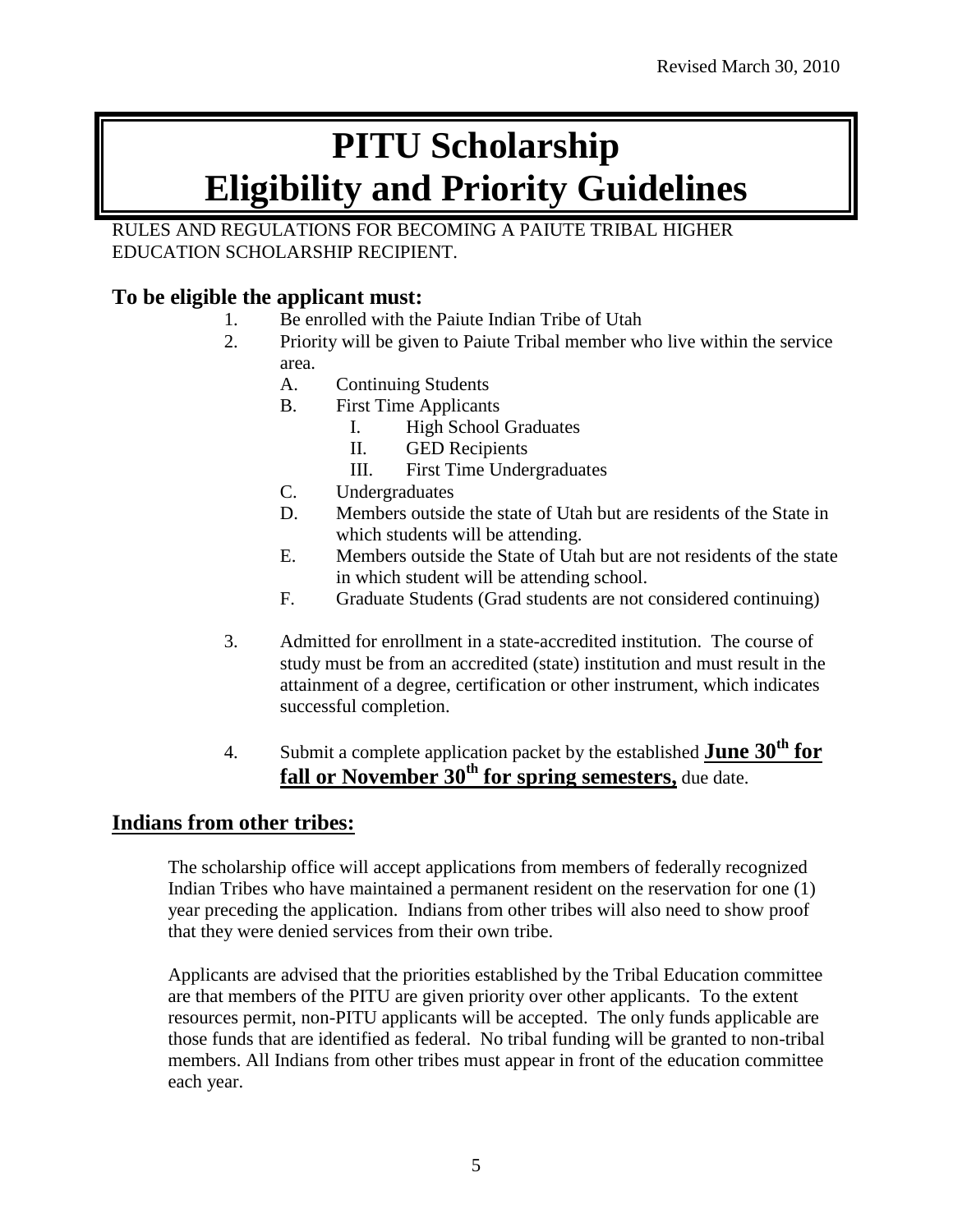# **PITU Scholarship Eligibility and Priority Guidelines**

#### RULES AND REGULATIONS FOR BECOMING A PAIUTE TRIBAL HIGHER EDUCATION SCHOLARSHIP RECIPIENT.

## **To be eligible the applicant must:**

- 1. Be enrolled with the Paiute Indian Tribe of Utah
- 2. Priority will be given to Paiute Tribal member who live within the service area.
	- A. Continuing Students
	- B. First Time Applicants
		- I. High School Graduates
		- II. GED Recipients
		- III. First Time Undergraduates
	- C. Undergraduates
	- D. Members outside the state of Utah but are residents of the State in which students will be attending.
	- E. Members outside the State of Utah but are not residents of the state in which student will be attending school.
	- F. Graduate Students (Grad students are not considered continuing)
- 3. Admitted for enrollment in a state-accredited institution. The course of study must be from an accredited (state) institution and must result in the attainment of a degree, certification or other instrument, which indicates successful completion.
- 4. Submit a complete application packet by the established **June 30th for fall or November 30<sup>th</sup> for spring semesters,** due date.

#### **Indians from other tribes:**

The scholarship office will accept applications from members of federally recognized Indian Tribes who have maintained a permanent resident on the reservation for one (1) year preceding the application. Indians from other tribes will also need to show proof that they were denied services from their own tribe.

Applicants are advised that the priorities established by the Tribal Education committee are that members of the PITU are given priority over other applicants. To the extent resources permit, non-PITU applicants will be accepted. The only funds applicable are those funds that are identified as federal. No tribal funding will be granted to non-tribal members. All Indians from other tribes must appear in front of the education committee each year.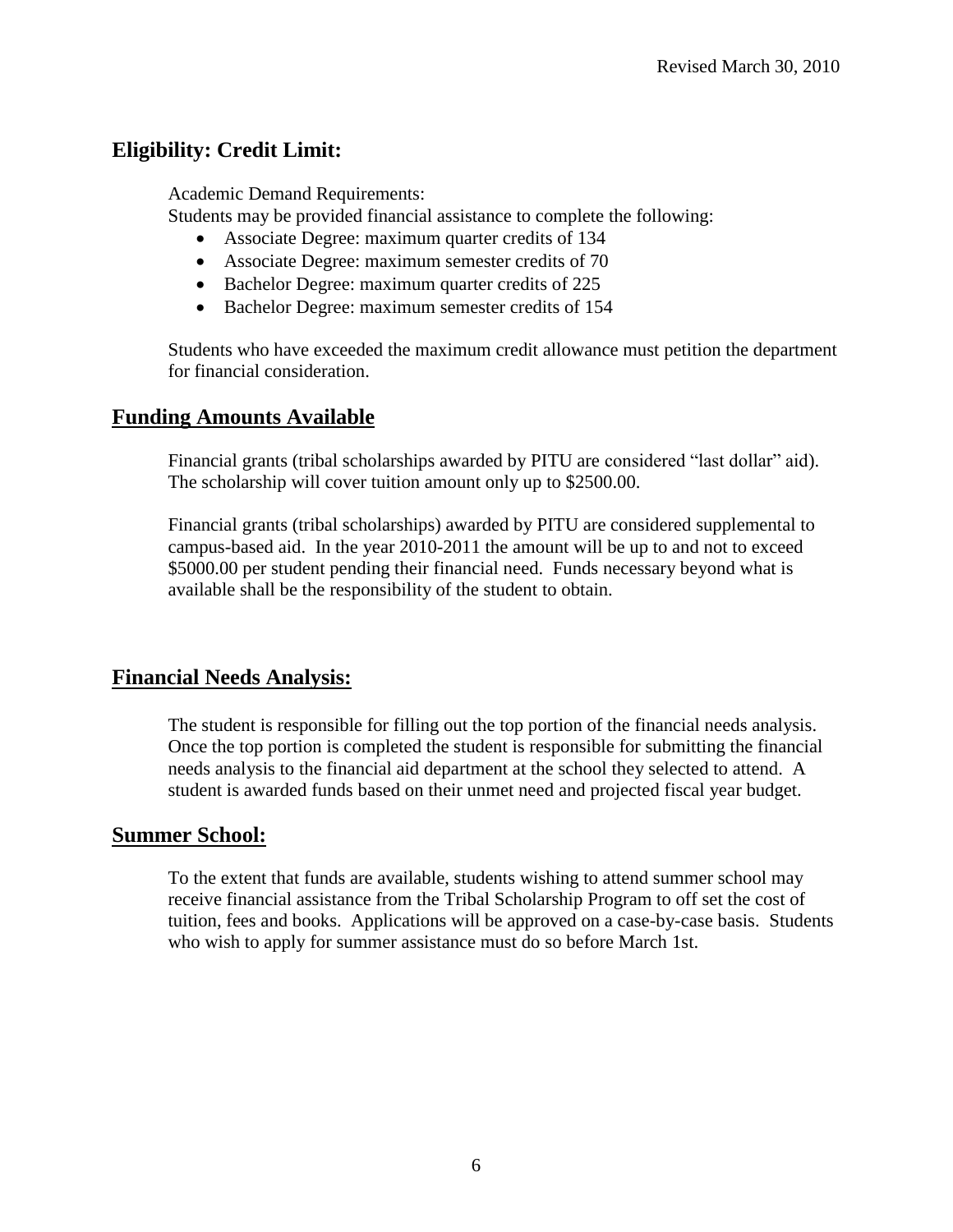## **Eligibility: Credit Limit:**

Academic Demand Requirements:

Students may be provided financial assistance to complete the following:

- Associate Degree: maximum quarter credits of 134
- Associate Degree: maximum semester credits of 70
- Bachelor Degree: maximum quarter credits of 225
- Bachelor Degree: maximum semester credits of 154

Students who have exceeded the maximum credit allowance must petition the department for financial consideration.

### **Funding Amounts Available**

Financial grants (tribal scholarships awarded by PITU are considered "last dollar" aid). The scholarship will cover tuition amount only up to \$2500.00.

Financial grants (tribal scholarships) awarded by PITU are considered supplemental to campus-based aid. In the year 2010-2011 the amount will be up to and not to exceed \$5000.00 per student pending their financial need. Funds necessary beyond what is available shall be the responsibility of the student to obtain.

## **Financial Needs Analysis:**

The student is responsible for filling out the top portion of the financial needs analysis. Once the top portion is completed the student is responsible for submitting the financial needs analysis to the financial aid department at the school they selected to attend. A student is awarded funds based on their unmet need and projected fiscal year budget.

### **Summer School:**

To the extent that funds are available, students wishing to attend summer school may receive financial assistance from the Tribal Scholarship Program to off set the cost of tuition, fees and books. Applications will be approved on a case-by-case basis. Students who wish to apply for summer assistance must do so before March 1st.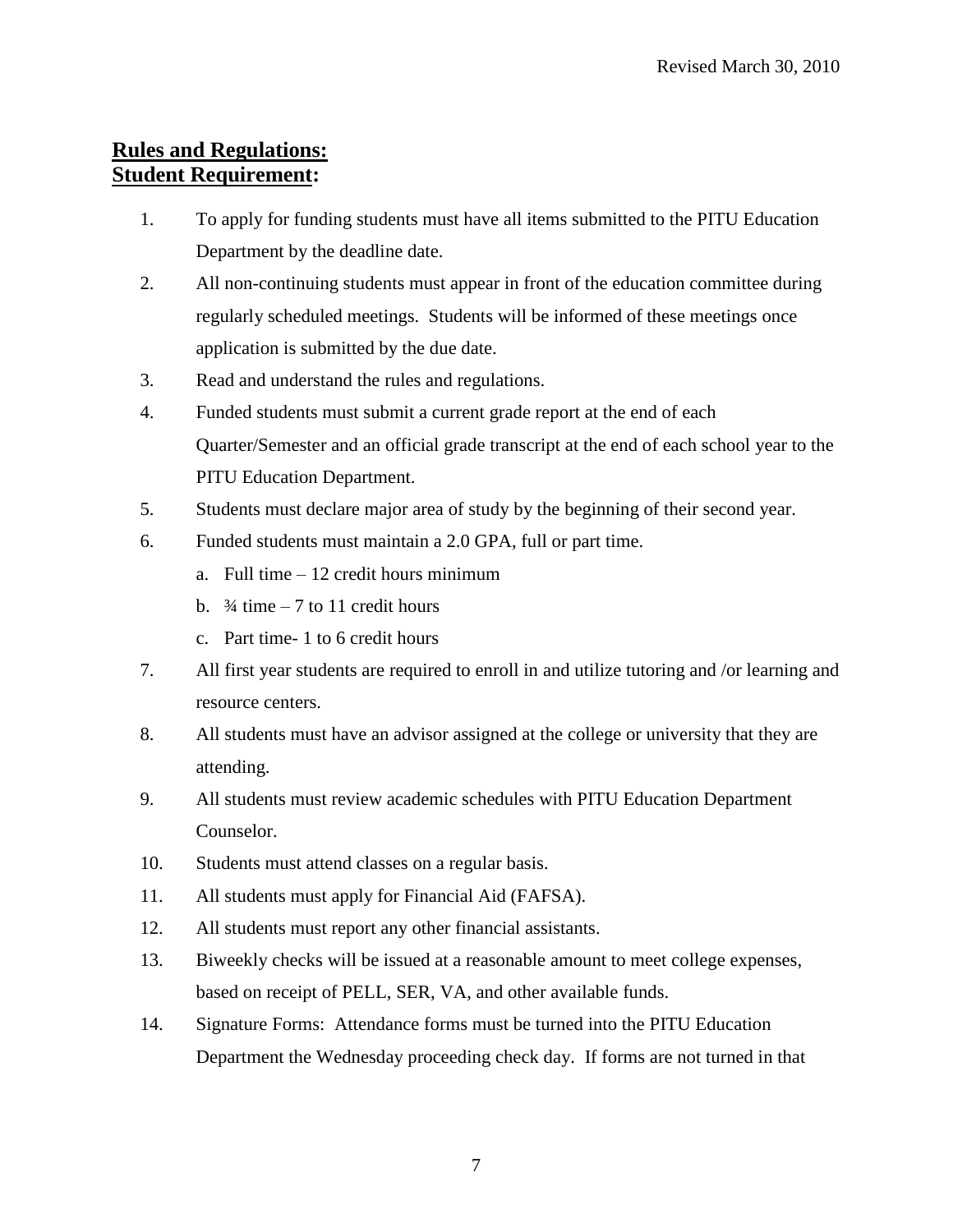## **Rules and Regulations: Student Requirement:**

- 1. To apply for funding students must have all items submitted to the PITU Education Department by the deadline date.
- 2. All non-continuing students must appear in front of the education committee during regularly scheduled meetings. Students will be informed of these meetings once application is submitted by the due date.
- 3. Read and understand the rules and regulations.
- 4. Funded students must submit a current grade report at the end of each Quarter/Semester and an official grade transcript at the end of each school year to the PITU Education Department.
- 5. Students must declare major area of study by the beginning of their second year.
- 6. Funded students must maintain a 2.0 GPA, full or part time.
	- a. Full time 12 credit hours minimum
	- b.  $\frac{3}{4}$  time  $-7$  to 11 credit hours
	- c. Part time- 1 to 6 credit hours
- 7. All first year students are required to enroll in and utilize tutoring and /or learning and resource centers.
- 8. All students must have an advisor assigned at the college or university that they are attending.
- 9. All students must review academic schedules with PITU Education Department Counselor.
- 10. Students must attend classes on a regular basis.
- 11. All students must apply for Financial Aid (FAFSA).
- 12. All students must report any other financial assistants.
- 13. Biweekly checks will be issued at a reasonable amount to meet college expenses, based on receipt of PELL, SER, VA, and other available funds.
- 14. Signature Forms: Attendance forms must be turned into the PITU Education Department the Wednesday proceeding check day. If forms are not turned in that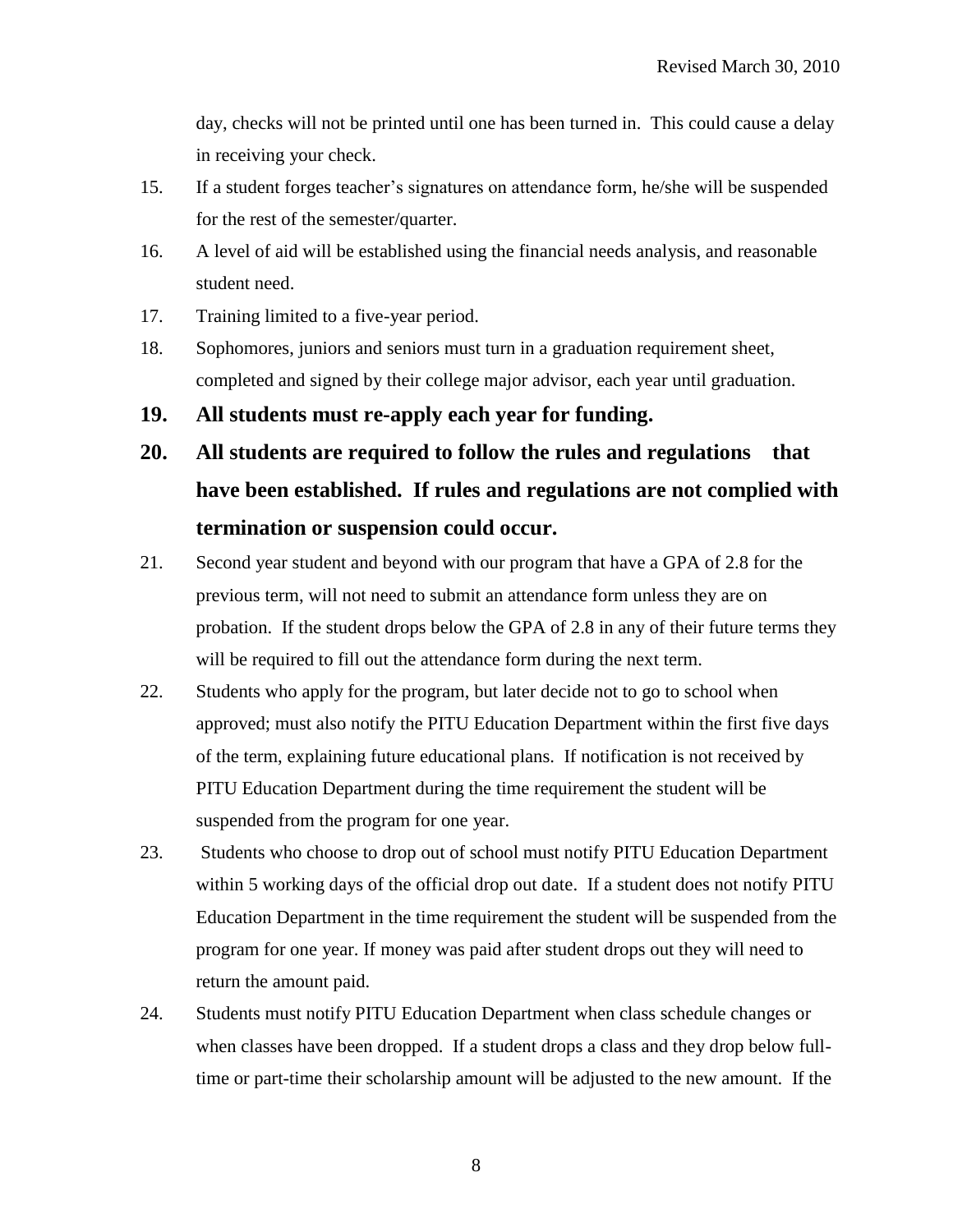day, checks will not be printed until one has been turned in. This could cause a delay in receiving your check.

- 15. If a student forges teacher's signatures on attendance form, he/she will be suspended for the rest of the semester/quarter.
- 16. A level of aid will be established using the financial needs analysis, and reasonable student need.
- 17. Training limited to a five-year period.
- 18. Sophomores, juniors and seniors must turn in a graduation requirement sheet, completed and signed by their college major advisor, each year until graduation.
- **19. All students must re-apply each year for funding.**
- **20. All students are required to follow the rules and regulations that have been established. If rules and regulations are not complied with termination or suspension could occur.**
- 21. Second year student and beyond with our program that have a GPA of 2.8 for the previous term, will not need to submit an attendance form unless they are on probation. If the student drops below the GPA of 2.8 in any of their future terms they will be required to fill out the attendance form during the next term.
- 22. Students who apply for the program, but later decide not to go to school when approved; must also notify the PITU Education Department within the first five days of the term, explaining future educational plans. If notification is not received by PITU Education Department during the time requirement the student will be suspended from the program for one year.
- 23. Students who choose to drop out of school must notify PITU Education Department within 5 working days of the official drop out date. If a student does not notify PITU Education Department in the time requirement the student will be suspended from the program for one year. If money was paid after student drops out they will need to return the amount paid.
- 24. Students must notify PITU Education Department when class schedule changes or when classes have been dropped. If a student drops a class and they drop below fulltime or part-time their scholarship amount will be adjusted to the new amount. If the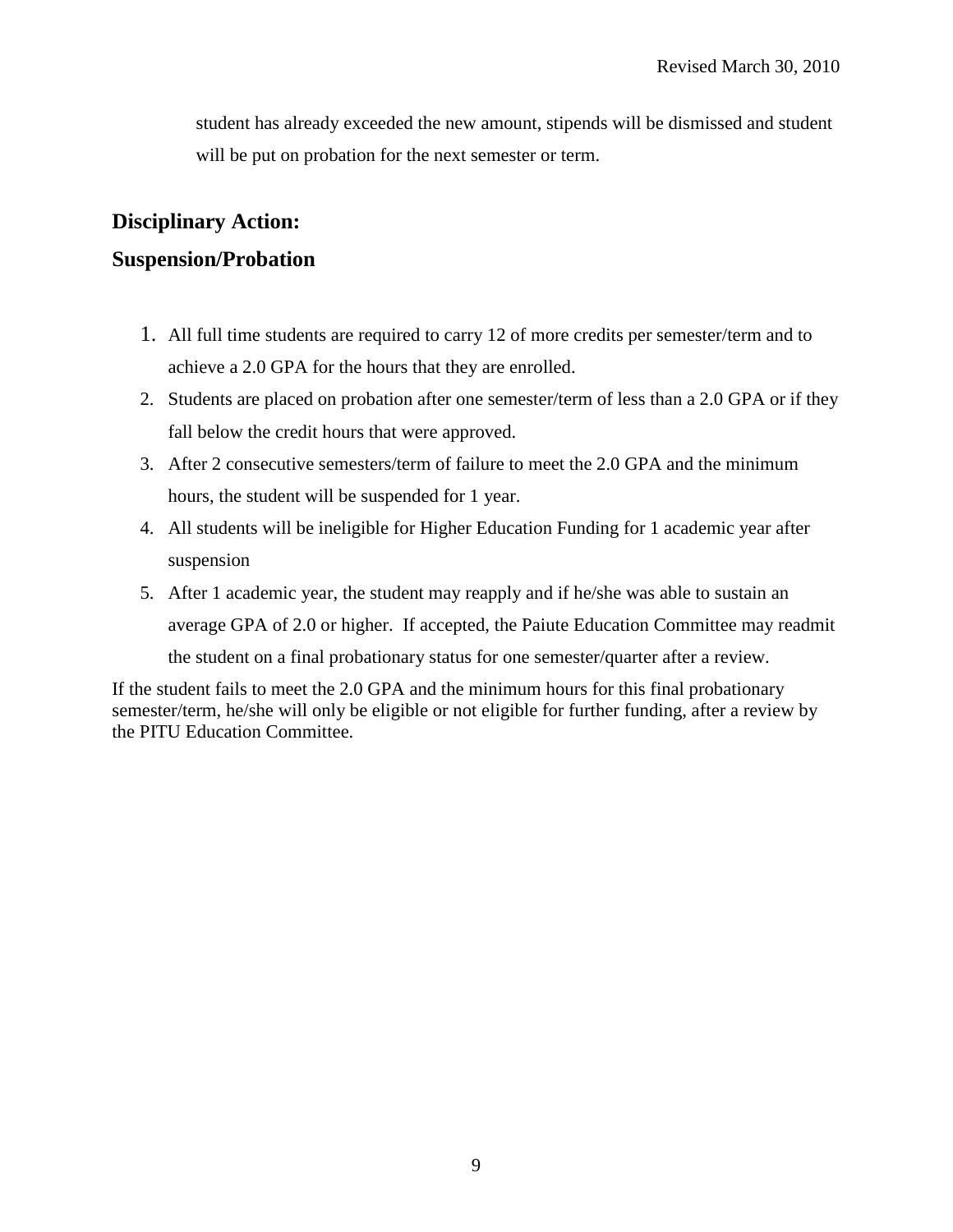student has already exceeded the new amount, stipends will be dismissed and student will be put on probation for the next semester or term.

## **Disciplinary Action:**

### **Suspension/Probation**

- 1. All full time students are required to carry 12 of more credits per semester/term and to achieve a 2.0 GPA for the hours that they are enrolled.
- 2. Students are placed on probation after one semester/term of less than a 2.0 GPA or if they fall below the credit hours that were approved.
- 3. After 2 consecutive semesters/term of failure to meet the 2.0 GPA and the minimum hours, the student will be suspended for 1 year.
- 4. All students will be ineligible for Higher Education Funding for 1 academic year after suspension
- 5. After 1 academic year, the student may reapply and if he/she was able to sustain an average GPA of 2.0 or higher. If accepted, the Paiute Education Committee may readmit the student on a final probationary status for one semester/quarter after a review.

If the student fails to meet the 2.0 GPA and the minimum hours for this final probationary semester/term, he/she will only be eligible or not eligible for further funding, after a review by the PITU Education Committee.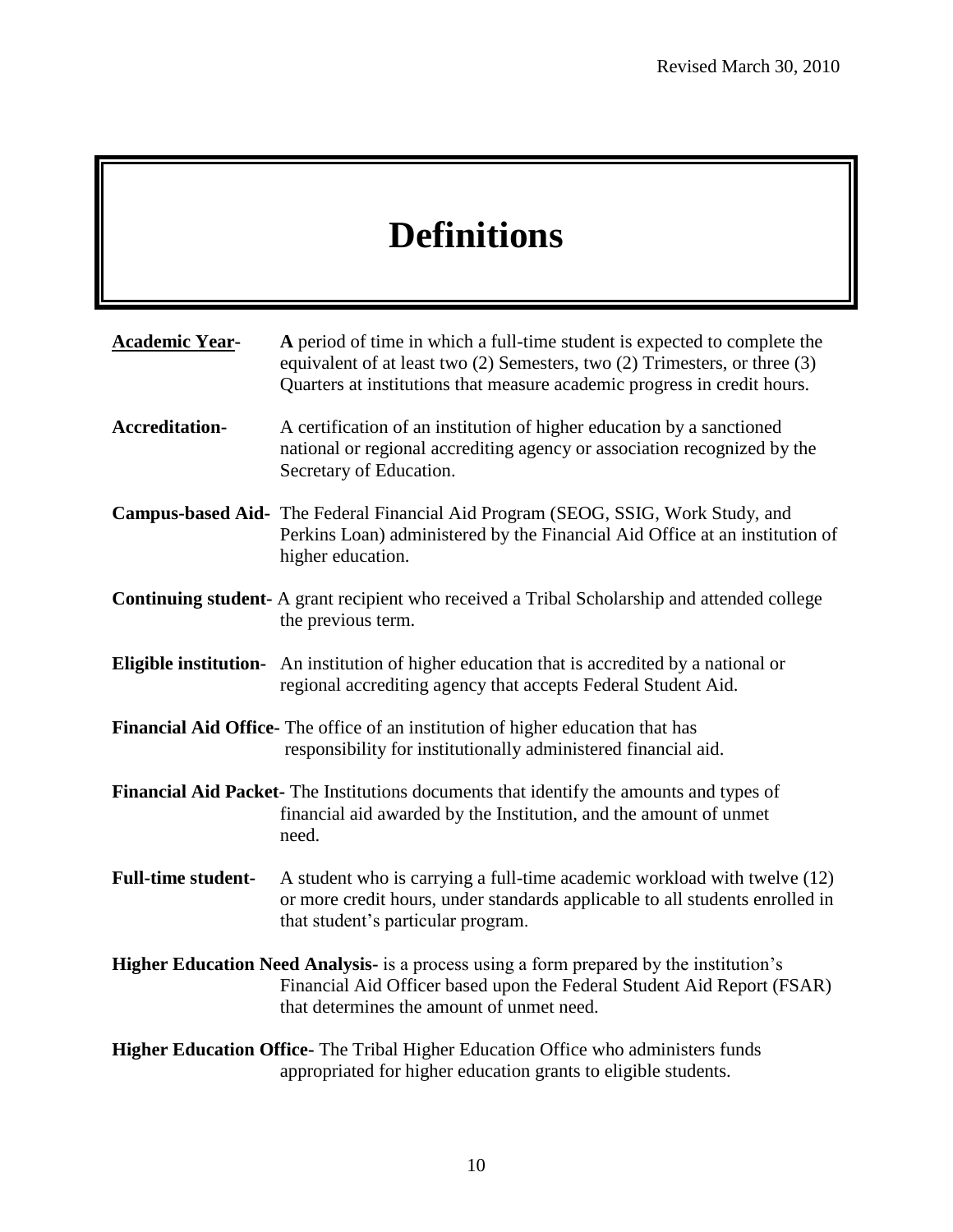# **Definitions**

| <b>Academic Year-</b>     | A period of time in which a full-time student is expected to complete the<br>equivalent of at least two (2) Semesters, two (2) Trimesters, or three (3)<br>Quarters at institutions that measure academic progress in credit hours. |
|---------------------------|-------------------------------------------------------------------------------------------------------------------------------------------------------------------------------------------------------------------------------------|
| <b>Accreditation-</b>     | A certification of an institution of higher education by a sanctioned<br>national or regional accrediting agency or association recognized by the<br>Secretary of Education.                                                        |
|                           | Campus-based Aid- The Federal Financial Aid Program (SEOG, SSIG, Work Study, and<br>Perkins Loan) administered by the Financial Aid Office at an institution of<br>higher education.                                                |
|                           | <b>Continuing student-</b> A grant recipient who received a Tribal Scholarship and attended college<br>the previous term.                                                                                                           |
|                           | <b>Eligible institution-</b> An institution of higher education that is accredited by a national or<br>regional accrediting agency that accepts Federal Student Aid.                                                                |
|                           | Financial Aid Office-The office of an institution of higher education that has<br>responsibility for institutionally administered financial aid.                                                                                    |
|                           | Financial Aid Packet-The Institutions documents that identify the amounts and types of<br>financial aid awarded by the Institution, and the amount of unmet<br>need.                                                                |
| <b>Full-time student-</b> | A student who is carrying a full-time academic workload with twelve (12)<br>or more credit hours, under standards applicable to all students enrolled in<br>that student's particular program.                                      |
|                           | <b>Higher Education Need Analysis-</b> is a process using a form prepared by the institution's<br>Financial Aid Officer based upon the Federal Student Aid Report (FSAR)<br>that determines the amount of unmet need.               |
|                           | Higher Education Office- The Tribal Higher Education Office who administers funds<br>appropriated for higher education grants to eligible students.                                                                                 |